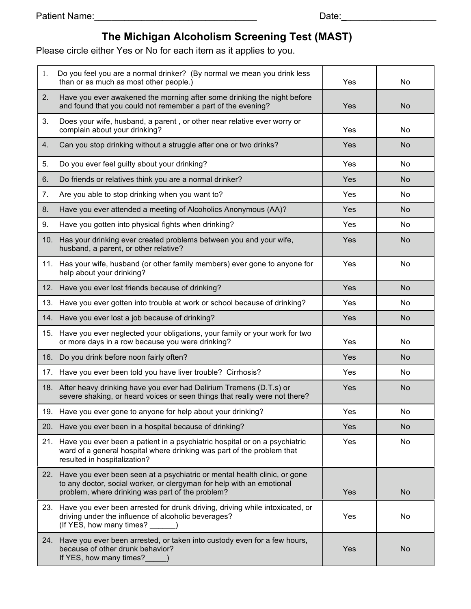## **The Michigan Alcoholism Screening Test (MAST)**

Please circle either Yes or No for each item as it applies to you.

| 1.  | Do you feel you are a normal drinker? (By normal we mean you drink less<br>than or as much as most other people.)                                                                                      | Yes | No        |
|-----|--------------------------------------------------------------------------------------------------------------------------------------------------------------------------------------------------------|-----|-----------|
| 2.  | Have you ever awakened the morning after some drinking the night before<br>and found that you could not remember a part of the evening?                                                                | Yes | <b>No</b> |
| 3.  | Does your wife, husband, a parent, or other near relative ever worry or<br>complain about your drinking?                                                                                               | Yes | No.       |
| 4.  | Can you stop drinking without a struggle after one or two drinks?                                                                                                                                      | Yes | <b>No</b> |
| 5.  | Do you ever feel guilty about your drinking?                                                                                                                                                           | Yes | No        |
| 6.  | Do friends or relatives think you are a normal drinker?                                                                                                                                                | Yes | <b>No</b> |
| 7.  | Are you able to stop drinking when you want to?                                                                                                                                                        | Yes | No        |
| 8.  | Have you ever attended a meeting of Alcoholics Anonymous (AA)?                                                                                                                                         | Yes | <b>No</b> |
| 9.  | Have you gotten into physical fights when drinking?                                                                                                                                                    | Yes | No        |
| 10. | Has your drinking ever created problems between you and your wife,<br>husband, a parent, or other relative?                                                                                            | Yes | <b>No</b> |
|     | 11. Has your wife, husband (or other family members) ever gone to anyone for<br>help about your drinking?                                                                                              | Yes | No.       |
|     | 12. Have you ever lost friends because of drinking?                                                                                                                                                    | Yes | <b>No</b> |
|     | 13. Have you ever gotten into trouble at work or school because of drinking?                                                                                                                           | Yes | No        |
|     | 14. Have you ever lost a job because of drinking?                                                                                                                                                      | Yes | <b>No</b> |
|     | 15. Have you ever neglected your obligations, your family or your work for two<br>or more days in a row because you were drinking?                                                                     | Yes | No.       |
|     | 16. Do you drink before noon fairly often?                                                                                                                                                             | Yes | <b>No</b> |
|     | 17. Have you ever been told you have liver trouble? Cirrhosis?                                                                                                                                         | Yes | No.       |
|     | 18. After heavy drinking have you ever had Delirium Tremens (D.T.s) or<br>severe shaking, or heard voices or seen things that really were not there?                                                   | Yes | <b>No</b> |
|     | 19. Have you ever gone to anyone for help about your drinking?                                                                                                                                         | Yes | No        |
|     | 20. Have you ever been in a hospital because of drinking?                                                                                                                                              | Yes | No        |
|     | 21. Have you ever been a patient in a psychiatric hospital or on a psychiatric<br>ward of a general hospital where drinking was part of the problem that<br>resulted in hospitalization?               | Yes | No        |
| 22. | Have you ever been seen at a psychiatric or mental health clinic, or gone<br>to any doctor, social worker, or clergyman for help with an emotional<br>problem, where drinking was part of the problem? | Yes | No        |
|     | 23. Have you ever been arrested for drunk driving, driving while intoxicated, or<br>driving under the influence of alcoholic beverages?<br>(If YES, how many times? ______)                            | Yes | No        |
|     | 24. Have you ever been arrested, or taken into custody even for a few hours,<br>because of other drunk behavior?<br>If YES, how many times?_____)                                                      | Yes | No        |